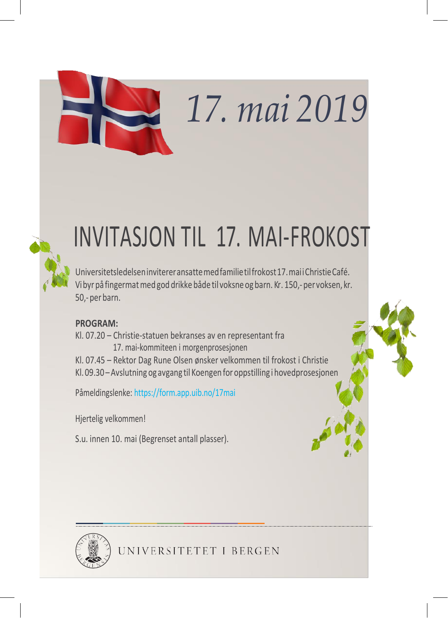# *17. mai 2019*



## INVITASJON TIL 17. MAI-FROKOST

Universitetsledelseninvitereransattemedfamilietilfrokost17.maiiChristieCafé. Vibyrpå fingermatmed god drikke både til voksne og barn. Kr . 150,- per voksen, kr. 50,- perbarn.

### **PROGRAM:**

Kl. 07.20 – Christie-statuen bekranses av en representant fra 17. mai-kommiteen i morgenprosesjonen Kl. 07.45 – Rektor Dag Rune Olsen ønsker velkommen til frokost i Christie

Kl.09.30 –Avslutning og avgang til Koengen for oppstilling i hovedprosesjonen

Påmeldingslenke: https://form.app.uib.no/17mai

Hjertelig velkommen!

S.u. innen 10. mai (Begrenset antall plasser).





UNIVERSITETET I BERGEN